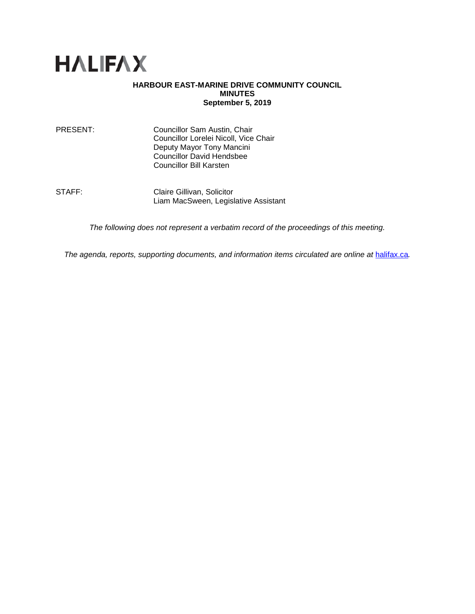

# **HARBOUR EAST-MARINE DRIVE COMMUNITY COUNCIL MINUTES September 5, 2019**

| PRESENT: | Councillor Sam Austin, Chair          |
|----------|---------------------------------------|
|          | Councillor Lorelei Nicoll, Vice Chair |
|          | Deputy Mayor Tony Mancini             |
|          | <b>Councillor David Hendsbee</b>      |
|          | Councillor Bill Karsten               |

STAFF: Claire Gillivan, Solicitor Liam MacSween, Legislative Assistant

*The following does not represent a verbatim record of the proceedings of this meeting.*

*The agenda, reports, supporting documents, and information items circulated are online at [halifax.ca](http://www.halifax.ca/).*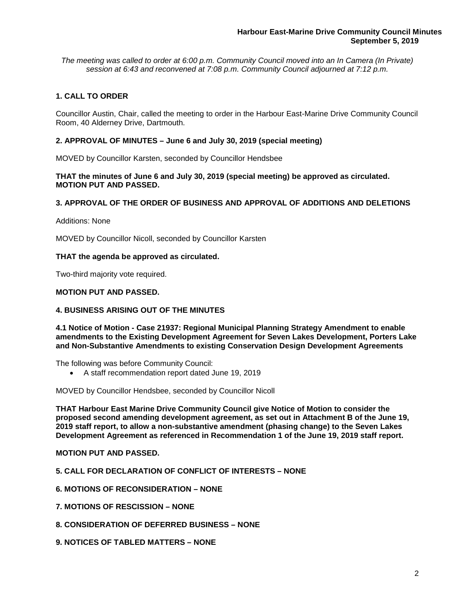*The meeting was called to order at 6:00 p.m. Community Council moved into an In Camera (In Private) session at 6:43 and reconvened at 7:08 p.m. Community Council adjourned at 7:12 p.m.*

# **1. CALL TO ORDER**

Councillor Austin, Chair, called the meeting to order in the Harbour East-Marine Drive Community Council Room, 40 Alderney Drive, Dartmouth.

# **2. APPROVAL OF MINUTES – June 6 and July 30, 2019 (special meeting)**

MOVED by Councillor Karsten, seconded by Councillor Hendsbee

**THAT the minutes of June 6 and July 30, 2019 (special meeting) be approved as circulated. MOTION PUT AND PASSED.**

## **3. APPROVAL OF THE ORDER OF BUSINESS AND APPROVAL OF ADDITIONS AND DELETIONS**

Additions: None

MOVED by Councillor Nicoll, seconded by Councillor Karsten

#### **THAT the agenda be approved as circulated.**

Two-third majority vote required.

### **MOTION PUT AND PASSED.**

### **4. BUSINESS ARISING OUT OF THE MINUTES**

**4.1 Notice of Motion - Case 21937: Regional Municipal Planning Strategy Amendment to enable amendments to the Existing Development Agreement for Seven Lakes Development, Porters Lake and Non-Substantive Amendments to existing Conservation Design Development Agreements**

The following was before Community Council:

• A staff recommendation report dated June 19, 2019

MOVED by Councillor Hendsbee, seconded by Councillor Nicoll

**THAT Harbour East Marine Drive Community Council give Notice of Motion to consider the proposed second amending development agreement, as set out in Attachment B of the June 19, 2019 staff report, to allow a non-substantive amendment (phasing change) to the Seven Lakes Development Agreement as referenced in Recommendation 1 of the June 19, 2019 staff report.**

## **MOTION PUT AND PASSED.**

- **5. CALL FOR DECLARATION OF CONFLICT OF INTERESTS – NONE**
- **6. MOTIONS OF RECONSIDERATION – NONE**
- **7. MOTIONS OF RESCISSION – NONE**
- **8. CONSIDERATION OF DEFERRED BUSINESS – NONE**
- **9. NOTICES OF TABLED MATTERS – NONE**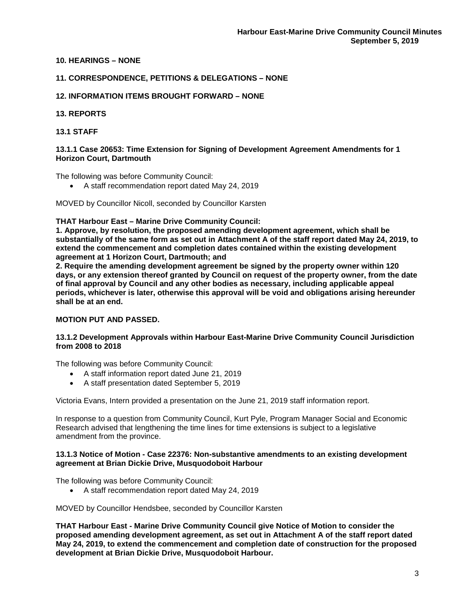## **10. HEARINGS – NONE**

## **11. CORRESPONDENCE, PETITIONS & DELEGATIONS – NONE**

## **12. INFORMATION ITEMS BROUGHT FORWARD – NONE**

## **13. REPORTS**

# **13.1 STAFF**

### **13.1.1 Case 20653: Time Extension for Signing of Development Agreement Amendments for 1 Horizon Court, Dartmouth**

The following was before Community Council:

• A staff recommendation report dated May 24, 2019

MOVED by Councillor Nicoll, seconded by Councillor Karsten

### **THAT Harbour East – Marine Drive Community Council:**

**1. Approve, by resolution, the proposed amending development agreement, which shall be substantially of the same form as set out in Attachment A of the staff report dated May 24, 2019, to extend the commencement and completion dates contained within the existing development agreement at 1 Horizon Court, Dartmouth; and**

**2. Require the amending development agreement be signed by the property owner within 120 days, or any extension thereof granted by Council on request of the property owner, from the date of final approval by Council and any other bodies as necessary, including applicable appeal periods, whichever is later, otherwise this approval will be void and obligations arising hereunder shall be at an end.**

## **MOTION PUT AND PASSED.**

### **13.1.2 Development Approvals within Harbour East-Marine Drive Community Council Jurisdiction from 2008 to 2018**

The following was before Community Council:

- A staff information report dated June 21, 2019
- A staff presentation dated September 5, 2019

Victoria Evans, Intern provided a presentation on the June 21, 2019 staff information report.

In response to a question from Community Council, Kurt Pyle, Program Manager Social and Economic Research advised that lengthening the time lines for time extensions is subject to a legislative amendment from the province.

#### **13.1.3 Notice of Motion - Case 22376: Non-substantive amendments to an existing development agreement at Brian Dickie Drive, Musquodoboit Harbour**

The following was before Community Council:

• A staff recommendation report dated May 24, 2019

MOVED by Councillor Hendsbee, seconded by Councillor Karsten

**THAT Harbour East - Marine Drive Community Council give Notice of Motion to consider the proposed amending development agreement, as set out in Attachment A of the staff report dated May 24, 2019, to extend the commencement and completion date of construction for the proposed development at Brian Dickie Drive, Musquodoboit Harbour.**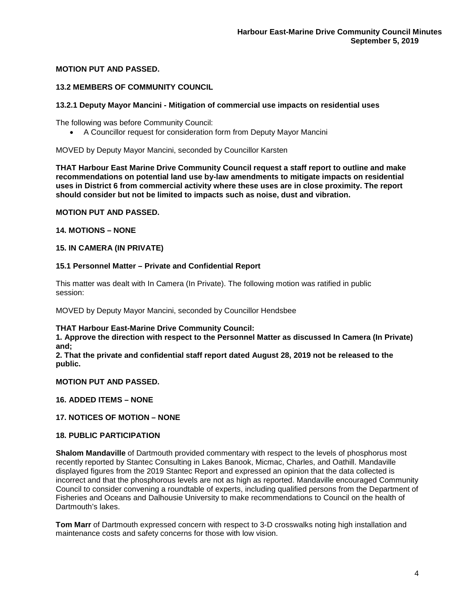# **MOTION PUT AND PASSED.**

## **13.2 MEMBERS OF COMMUNITY COUNCIL**

### **13.2.1 Deputy Mayor Mancini - Mitigation of commercial use impacts on residential uses**

The following was before Community Council:

• A Councillor request for consideration form from Deputy Mayor Mancini

MOVED by Deputy Mayor Mancini, seconded by Councillor Karsten

**THAT Harbour East Marine Drive Community Council request a staff report to outline and make recommendations on potential land use by-law amendments to mitigate impacts on residential uses in District 6 from commercial activity where these uses are in close proximity. The report should consider but not be limited to impacts such as noise, dust and vibration.**

**MOTION PUT AND PASSED.**

**14. MOTIONS – NONE** 

### **15. IN CAMERA (IN PRIVATE)**

#### **15.1 Personnel Matter – Private and Confidential Report**

This matter was dealt with In Camera (In Private). The following motion was ratified in public session:

MOVED by Deputy Mayor Mancini, seconded by Councillor Hendsbee

### **THAT Harbour East-Marine Drive Community Council:**

**1. Approve the direction with respect to the Personnel Matter as discussed In Camera (In Private) and;**

**2. That the private and confidential staff report dated August 28, 2019 not be released to the public.**

**MOTION PUT AND PASSED.**

**16. ADDED ITEMS – NONE**

# **17. NOTICES OF MOTION – NONE**

### **18. PUBLIC PARTICIPATION**

**Shalom Mandaville** of Dartmouth provided commentary with respect to the levels of phosphorus most recently reported by Stantec Consulting in Lakes Banook, Micmac, Charles, and Oathill. Mandaville displayed figures from the 2019 Stantec Report and expressed an opinion that the data collected is incorrect and that the phosphorous levels are not as high as reported. Mandaville encouraged Community Council to consider convening a roundtable of experts, including qualified persons from the Department of Fisheries and Oceans and Dalhousie University to make recommendations to Council on the health of Dartmouth's lakes.

**Tom Marr** of Dartmouth expressed concern with respect to 3-D crosswalks noting high installation and maintenance costs and safety concerns for those with low vision.